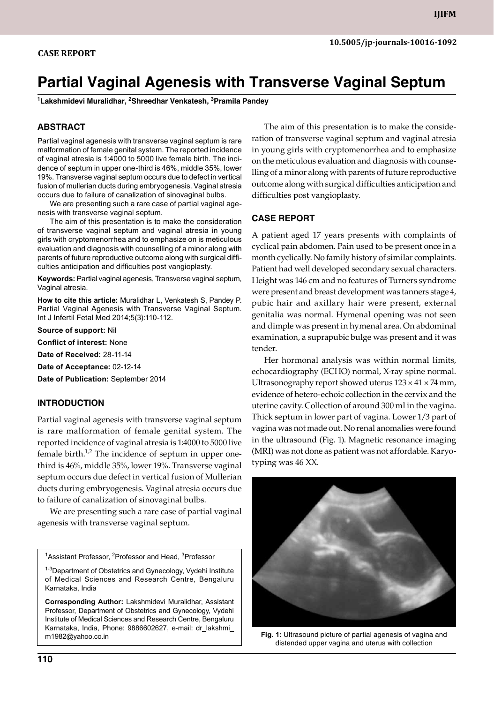# **Partial Vaginal Agenesis with Transverse Vaginal Septum**

**1 Lakshmidevi Muralidhar, 2 Shreedhar Venkatesh, 3 Pramila Pandey**

### **ABSTRACT**

Partial vaginal agenesis with transverse vaginal septum is rare malformation of female genital system. The reported incidence of vaginal atresia is 1:4000 to 5000 live female birth. The incidence of septum in upper one-third is 46%, middle 35%, lower 19%. Transverse vaginal septum occurs due to defect in vertical fusion of mullerian ducts during embryogenesis. Vaginal atresia occurs due to failure of canalization of sinovaginal bulbs.

We are presenting such a rare case of partial vaginal agenesis with transverse vaginal septum.

The aim of this presentation is to make the consideration of transverse vaginal septum and vaginal atresia in young girls with cryptomenorrhea and to emphasize on is meticulous evaluation and diagnosis with counselling of a minor along with parents of future reproductive outcome along with surgical difficulties anticipation and difficulties post vangioplasty.

**Keywords:** Partial vaginal agenesis, Transverse vaginal septum, vaginal atresia.

**How to cite this article:** Muralidhar L, Venkatesh S, Pandey P. Partial Vaginal Agenesis with Transverse Vaginal Septum. Int J Infertil Fetal Med 2014;5(3):110-112.

**Source of support:** Nil

**Conflict of interest:** None

**Date of Received:** 28-11-14

**Date of Acceptance:** 02-12-14

**Date of Publication:** September 2014

#### **Introduction**

Partial vaginal agenesis with transverse vaginal septum is rare malformation of female genital system. The reported incidence of vaginal atresia is 1:4000 to 5000 live female birth. $1/2$  The incidence of septum in upper onethird is 46%, middle 35%, lower 19%. Transverse vaginal septum occurs due defect in vertical fusion of Mullerian ducts during embryogenesis. Vaginal atresia occurs due to failure of canalization of sinovaginal bulbs.

We are presenting such a rare case of partial vaginal agenesis with transverse vaginal septum.

<sup>1</sup>Assistant Professor, <sup>2</sup>Professor and Head, <sup>3</sup>Professor

<sup>1-3</sup>Department of Obstetrics and Gynecology, Vydehi Institute of Medical Sciences and Research Centre, Bengaluru Karnataka, India

**Corresponding Author:** Lakshmidevi Muralidhar, Assistant professor, Department of Obstetrics and Gynecology, Vydehi Institute of Medical Sciences and Research Centre, Bengaluru Karnataka, India, Phone: 9886602627, e-mail: dr\_lakshmi\_ m1982@yahoo.co.in

The aim of this presentation is to make the consideration of transverse vaginal septum and vaginal atresia in young girls with cryptomenorrhea and to emphasize on the meticulous evaluation and diagnosis with counselling of a minor along with parents of future reproductive outcome along with surgical difficulties anticipation and difficulties post vangioplasty.

#### **CASE REPORT**

A patient aged 17 years presents with complaints of cyclical pain abdomen. Pain used to be present once in a month cyclically. No family history of similar complaints. Patient had well developed secondary sexual characters. Height was 146 cm and no features of Turners syndrome were present and breast development was tanners stage 4, pubic hair and axillary hair were present, external genitalia was normal. Hymenal opening was not seen and dimple was present in hymenal area. On abdominal examination, a suprapubic bulge was present and it was tender.

Her hormonal analysis was within normal limits, echocardiography (ECHO) normal, X-ray spine normal. Ultrasonography report showed uterus  $123 \times 41 \times 74$  mm, evidence of hetero-echoic collection in the cervix and the uterine cavity. Collection of around 300 ml in the vagina. Thick septum in lower part of vagina. Lower 1/3 part of vagina was not made out. No renal anomalies were found in the ultrasound (Fig. 1). Magnetic resonance imaging (MRI) was not done as patient was not affordable. Karyotyping was 46 XX.



Fig. 1: Ultrasound picture of partial agenesis of vagina and distended upper vagina and uterus with collection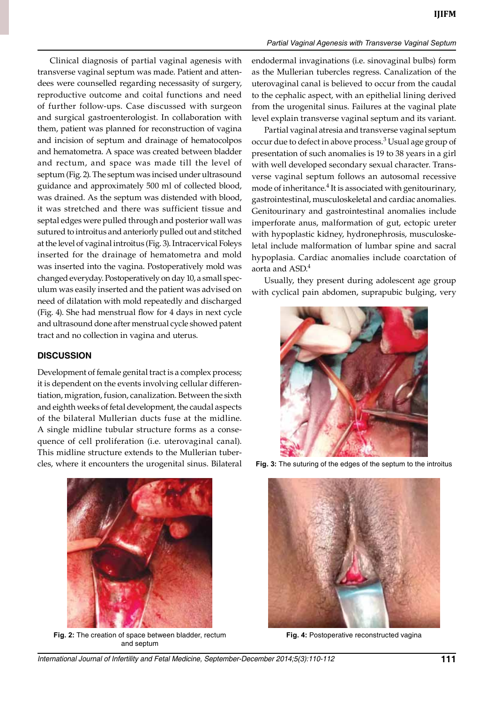*Partial Vaginal Agenesis with Transverse Vaginal Septum*

Clinical diagnosis of partial vaginal agenesis with transverse vaginal septum was made. Patient and attendees were counselled regarding necessasity of surgery, reproductive outcome and coital functions and need of further follow-ups. Case discussed with surgeon and surgical gastroenterologist. In collaboration with them, patient was planned for reconstruction of vagina and incision of septum and drainage of hematocolpos and hematometra. A space was created between bladder and rectum, and space was made till the level of septum (Fig. 2). The septum was incised under ultrasound guidance and approximately 500 ml of collected blood, was drained. As the septum was distended with blood, it was stretched and there was sufficient tissue and septal edges were pulled through and posterior wall was sutured to introitus and anteriorly pulled out and stitched at the level of vaginal introitus (Fig. 3). Intracervical foleys inserted for the drainage of hematometra and mold was inserted into the vagina. Postoperatively mold was changed everyday. Postoperatively on day 10, a small speculum was easily inserted and the patient was advised on need of dilatation with mold repeatedly and discharged (Fig. 4). She had menstrual flow for 4 days in next cycle and ultrasound done after menstrual cycle showed patent tract and no collection in vagina and uterus.

### **DISCUSSION**

Development of female genital tract is a complex process; it is dependent on the events involving cellular differentiation, migration, fusion, canalization. Between the sixth and eighth weeks of fetal development, the caudal aspects of the bilateral Mullerian ducts fuse at the midline. A single midline tubular structure forms as a consequence of cell proliferation (i.e. uterovaginal canal). This midline structure extends to the Mullerian tubercles, where it encounters the urogenital sinus. Bilateral



**Fig. 2:** The creation of space between bladder, rectum **Fig. 4:** Postoperative reconstructed vagina and septum

endodermal invaginations (i.e. sinovaginal bulbs) form as the Mullerian tubercles regress. Canalization of the uterovaginal canal is believed to occur from the caudal to the cephalic aspect, with an epithelial lining derived from the urogenital sinus. Failures at the vaginal plate level explain transverse vaginal septum and its variant.

Partial vaginal atresia and transverse vaginal septum occur due to defect in above process.<sup>3</sup> Usual age group of presentation of such anomalies is 19 to 38 years in a girl with well developed secondary sexual character. Transverse vaginal septum follows an autosomal recessive mode of inheritance.<sup>4</sup> It is associated with genitourinary, gastrointestinal, musculoskeletal and cardiac anomalies. Genitourinary and gastrointestinal anomalies include imperforate anus, malformation of gut, ectopic ureter with hypoplastic kidney, hydronephrosis, musculoskeletal include malformation of lumbar spine and sacral hypoplasia. Cardiac anomalies include coarctation of aorta and ASD.<sup>4</sup>

Usually, they present during adolescent age group with cyclical pain abdomen, suprapubic bulging, very



**Fig. 3:** The suturing of the edges of the septum to the introitus